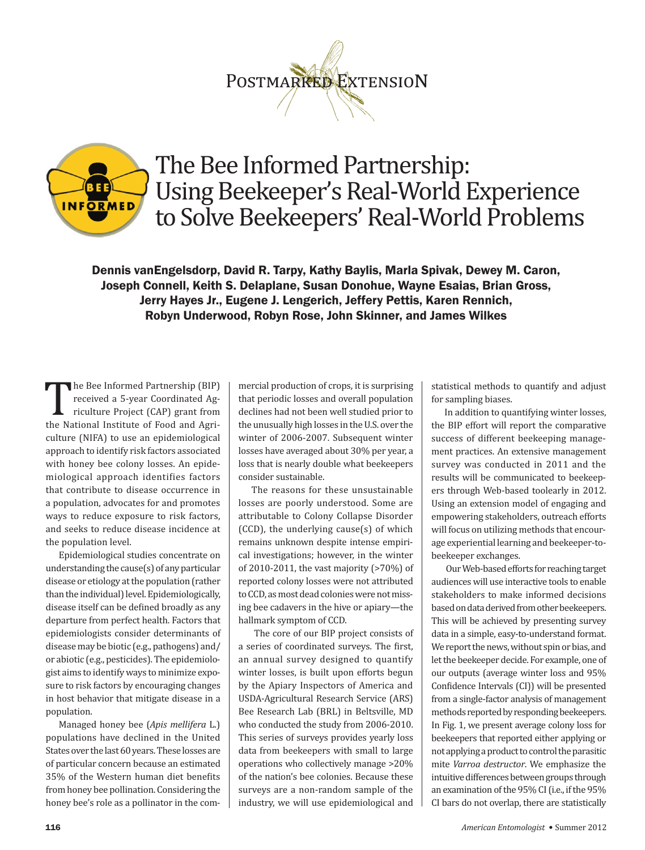## POSTMARKED EXTENSION



## The Bee Informed Partnership: Using Beekeeper's Real‐World Experience to Solve Beekeepers' Real‐World Problems

Dennis vanEngelsdorp, David R. Tarpy, Kathy Baylis, Marla Spivak, Dewey M. Caron, Joseph Connell, Keith S. Delaplane, Susan Donohue, Wayne Esaias, Brian Gross, Jerry Hayes Jr., Eugene J. Lengerich, Jeffery Pettis, Karen Rennich, Robyn Underwood, Robyn Rose, John Skinner, and James Wilkes

The Bee Informed Partnership (BIP) received a 5‐year Coordinated Ag‐ riculture Project (CAP) grant from the National Institute of Food and Agriculture (NIFA) to use an epidemiological approach to identify risk factors associated with honey bee colony losses. An epide‐ miological approach identifies factors that contribute to disease occurrence in a population, advocates for and promotes ways to reduce exposure to risk factors, and seeks to reduce disease incidence at the population level.

Epidemiological studies concentrate on understanding the cause(s) of any particular disease or etiology at the population (rather than the individual) level. Epidemiologically, disease itself can be defined broadly as any departure from perfect health. Factors that epidemiologists consider determinants of disease may be biotic (e.g., pathogens) and/ or abiotic (e.g., pesticides). The epidemiolo‐ gist aims to identify ways to minimize expo‐ sure to risk factors by encouraging changes in host behavior that mitigate disease in a population.

Managed honey bee (*Apis mellifera* L.) populations have declined in the United States over the last 60 years. These losses are of particular concern because an estimated 35% of the Western human diet benefits from honey bee pollination. Considering the honey bee's role as a pollinator in the commercial production of crops, it is surprising that periodic losses and overall population declines had not been well studied prior to the unusually high losses in the U.S. over the winter of 2006‐2007. Subsequent winter losses have averaged about 30% per year, a loss that is nearly double what beekeepers consider sustainable.

The reasons for these unsustainable losses are poorly understood. Some are attributable to Colony Collapse Disorder  $(CCD)$ , the underlying cause $(s)$  of which remains unknown despite intense empiri‐ cal investigations; however, in the winter of 2010‐2011, the vast majority (>70%) of reported colony losses were not attributed to CCD, as most dead colonies were not missing bee cadavers in the hive or apiary—the hallmark symptom of CCD.

 The core of our BIP project consists of a series of coordinated surveys. The first, an annual survey designed to quantify winter losses, is built upon efforts begun by the Apiary Inspectors of America and USDA‐Agricultural Research Service (ARS) Bee Research Lab (BRL) in Beltsville, MD who conducted the study from 2006‐2010. This series of surveys provides yearly loss data from beekeepers with small to large operations who collectively manage >20% of the nation's bee colonies. Because these surveys are a non-random sample of the industry, we will use epidemiological and

statistical methods to quantify and adjust for sampling biases.

In addition to quantifying winter losses, the BIP effort will report the comparative success of different beekeeping manage‐ ment practices. An extensive management survey was conducted in 2011 and the results will be communicated to beekeep‐ ers through Web‐based toolearly in 2012. Using an extension model of engaging and empowering stakeholders, outreach efforts will focus on utilizing methods that encourage experiential learning and beekeeper‐to‐ beekeeper exchanges.

 Our Web‐based efforts for reaching target audiences will use interactive tools to enable stakeholders to make informed decisions based on data derived from other beekeepers. This will be achieved by presenting survey data in a simple, easy‐to‐understand format. We report the news, without spin or bias, and let the beekeeper decide. For example, one of our outputs (average winter loss and 95% Confidence Intervals (CI)) will be presented from a single‐factor analysis of management methods reported by responding beekeepers. In Fig. 1, we present average colony loss for beekeepers that reported either applying or not applying a product to control the parasitic mite *Varroa destructor*. We emphasize the intuitive differences between groups through an examination of the 95% CI (i.e., if the 95% CI bars do not overlap, there are statistically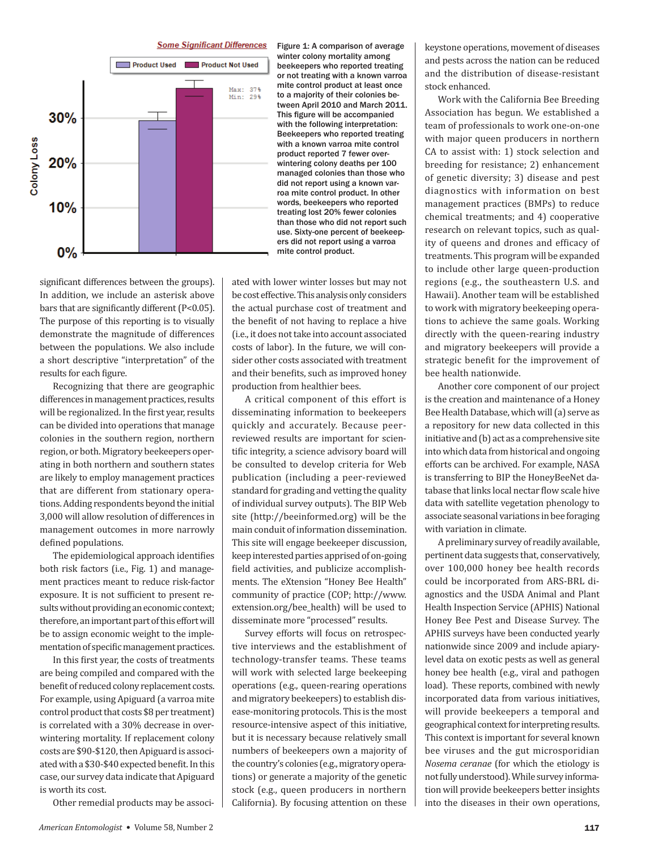**Some Significant Differences** 



Figure 1: A comparison of average winter colony mortality among beekeepers who reported treating or not treating with a known varroa mite control product at least once to a majority of their colonies between April 2010 and March 2011. This figure will be accompanied with the following interpretation: Beekeepers who reported treating with a known varroa mite control product reported 7 fewer overwintering colony deaths per 100 managed colonies than those who did not report using a known varroa mite control product. In other words, beekeepers who reported treating lost 20% fewer colonies than those who did not report such use. Sixty-one percent of beekeepers did not report using a varroa mite control product.

significant differences between the groups). In addition, we include an asterisk above bars that are significantly different (P<0.05). The purpose of this reporting is to visually demonstrate the magnitude of differences between the populations. We also include a short descriptive "interpretation" of the results for each figure.

Recognizing that there are geographic differences in management practices, results will be regionalized. In the first year, results can be divided into operations that manage colonies in the southern region, northern region, or both. Migratory beekeepers operating in both northern and southern states are likely to employ management practices that are different from stationary operations. Adding respondents beyond the initial 3,000 will allow resolution of differences in management outcomes in more narrowly defined populations.

The epidemiological approach identifies both risk factors (i.e., Fig. 1) and management practices meant to reduce risk-factor exposure. It is not sufficient to present results without providing an economic context; therefore, an important part of this effort will be to assign economic weight to the implementation of specific management practices.

In this first year, the costs of treatments are being compiled and compared with the benefit of reduced colony replacement costs. For example, using Apiguard (a varroa mite control product that costs \$8 per treatment) is correlated with a 30% decrease in overwintering mortality. If replacement colony costs are \$90-\$120, then Apiguard is associated with a \$30-\$40 expected benefit. In this case, our survey data indicate that Apiguard is worth its cost.

Other remedial products may be associ-

ated with lower winter losses but may not be cost effective. This analysis only considers the actual purchase cost of treatment and the benefit of not having to replace a hive (i.e., it does not take into account associated costs of labor). In the future, we will consider other costs associated with treatment and their benefits, such as improved honey production from healthier bees.

A critical component of this effort is disseminating information to beekeepers quickly and accurately. Because peerreviewed results are important for scientific integrity, a science advisory board will be consulted to develop criteria for Web publication (including a peer-reviewed standard for grading and vetting the quality of individual survey outputs). The BIP Web site (http://beeinformed.org) will be the main conduit of information dissemination. This site will engage beekeeper discussion, keep interested parties apprised of on-going field activities, and publicize accomplishments. The eXtension "Honey Bee Health" community of practice (COP; http://www. extension.org/bee\_health) will be used to disseminate more "processed" results.

Survey efforts will focus on retrospective interviews and the establishment of technology-transfer teams. These teams will work with selected large beekeeping operations (e.g., queen-rearing operations and migratory beekeepers) to establish disease-monitoring protocols. This is the most resource-intensive aspect of this initiative, but it is necessary because relatively small numbers of beekeepers own a majority of the country's colonies (e.g., migratory operations) or generate a majority of the genetic stock (e.g., queen producers in northern California). By focusing attention on these

keystone operations, movement of diseases and pests across the nation can be reduced and the distribution of disease-resistant stock enhanced.

Work with the California Bee Breeding Association has begun. We established a team of professionals to work one-on-one with major queen producers in northern CA to assist with: 1) stock selection and breeding for resistance; 2) enhancement of genetic diversity; 3) disease and pest diagnostics with information on best management practices (BMPs) to reduce chemical treatments; and 4) cooperative research on relevant topics, such as quality of queens and drones and efficacy of treatments. This program will be expanded to include other large queen-production regions (e.g., the southeastern U.S. and Hawaii). Another team will be established to work with migratory beekeeping operations to achieve the same goals. Working directly with the queen-rearing industry and migratory beekeepers will provide a strategic benefit for the improvement of bee health nationwide.

Another core component of our project is the creation and maintenance of a Honey Bee Health Database, which will (a) serve as a repository for new data collected in this initiative and (b) act as a comprehensive site into which data from historical and ongoing efforts can be archived. For example, NASA is transferring to BIP the HoneyBeeNet database that links local nectar flow scale hive data with satellite vegetation phenology to associate seasonal variations in bee foraging with variation in climate.

A preliminary survey of readily available, pertinent data suggests that, conservatively, over 100,000 honey bee health records could be incorporated from ARS-BRL diagnostics and the USDA Animal and Plant Health Inspection Service (APHIS) National Honey Bee Pest and Disease Survey. The APHIS surveys have been conducted yearly nationwide since 2009 and include apiarylevel data on exotic pests as well as general honey bee health (e.g., viral and pathogen load). These reports, combined with newly incorporated data from various initiatives, will provide beekeepers a temporal and geographical context for interpreting results. This context is important for several known bee viruses and the gut microsporidian Nosema ceranae (for which the etiology is not fully understood). While survey information will provide beekeepers better insights into the diseases in their own operations,